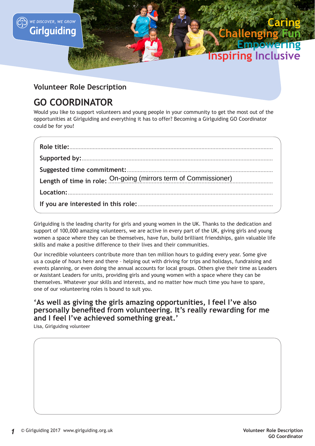

#### **Volunteer Role Description**

## **GO COORDINATOR**

Would you like to support volunteers and young people in your community to get the most out of the opportunities at Girlguiding and everything it has to offer? Becoming a Girlguiding GO Coordinator could be for you!

| Length of time in role: On-going (mirrors term of Commissioner) |
|-----------------------------------------------------------------|
|                                                                 |
|                                                                 |

Girlguiding is the leading charity for girls and young women in the UK. Thanks to the dedication and support of 100,000 amazing volunteers, we are active in every part of the UK, giving girls and young women a space where they can be themselves, have fun, build brilliant friendships, gain valuable life skills and make a positive difference to their lives and their communities.

Our incredible volunteers contribute more than ten million hours to guiding every year. Some give us a couple of hours here and there – helping out with driving for trips and holidays, fundraising and events planning, or even doing the annual accounts for local groups. Others give their time as Leaders or Assistant Leaders for units, providing girls and young women with a space where they can be themselves. Whatever your skills and interests, and no matter how much time you have to spare, one of our volunteering roles is bound to suit you.

#### **'As well as giving the girls amazing opportunities, I feel I've also personally benefited from volunteering. It's really rewarding for me and I feel I've achieved something great.'**

Lisa, Girlguiding volunteer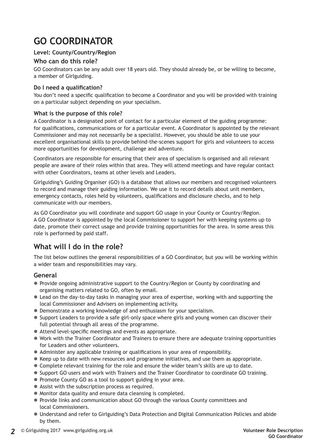# **GO COORDINATOR**

#### **Level: County/Country/Region**

#### **Who can do this role?**

GO Coordinators can be any adult over 18 years old. They should already be, or be willing to become, a member of Girlguiding.

#### **Do I need a qualification?**

You don't need a specific qualification to become a Coordinator and you will be provided with training on a particular subject depending on your specialism.

#### **What is the purpose of this role?**

A Coordinator is a designated point of contact for a particular element of the guiding programme: for qualifications, communications or for a particular event. A Coordinator is appointed by the relevant Commissioner and may not necessarily be a specialist. However, you should be able to use your excellent organisational skills to provide behind-the-scenes support for girls and volunteers to access more opportunities for development, challenge and adventure.

Coordinators are responsible for ensuring that their area of specialism is organised and all relevant people are aware of their roles within that area. They will attend meetings and have regular contact with other Coordinators, teams at other levels and Leaders.

Girlguiding's Guiding Organiser (GO) is a database that allows our members and recognised volunteers to record and manage their guiding information. We use it to record details about unit members, emergency contacts, roles held by volunteers, qualifications and disclosure checks, and to help communicate with our members.

As GO Coordinator you will coordinate and support GO usage in your County or Country/Region. A GO Coordinator is appointed by the local Commissioner to support her with keeping systems up to date, promote their correct usage and provide training opportunities for the area. In some areas this role is performed by paid staff.

### **What will I do in the role?**

The list below outlines the general responsibilities of a GO Coordinator, but you will be working within a wider team and responsibilities may vary.

#### **General**

- Provide ongoing administrative support to the Country/Region or County by coordinating and organising matters related to GO, often by email.
- Lead on the day-to-day tasks in managing your area of expertise, working with and supporting the local Commissioner and Advisers on implementing activity.
- Demonstrate a working knowledge of and enthusiasm for your specialism.
- Support Leaders to provide a safe girl-only space where girls and young women can discover their full potential through all areas of the programme.
- $\bullet$  Attend level-specific meetings and events as appropriate.
- $\bullet$  Work with the Trainer Coordinator and Trainers to ensure there are adequate training opportunities for Leaders and other volunteers.
- Administer any applicable training or qualifications in your area of responsibility.
- $\bullet$  Keep up to date with new resources and programme initiatives, and use them as appropriate.
- Complete relevant training for the role and ensure the wider team's skills are up to date.
- Support GO users and work with Trainers and the Trainer Coordinator to coordinate GO training.
- Promote County GO as a tool to support guiding in your area.
- $\bullet$  Assist with the subscription process as required.
- $\bullet$  Monitor data quality and ensure data cleansing is completed.
- Provide links and communication about GO through the various County committees and local Commissioners.
- Understand and refer to Girlguiding's Data Protection and Digital Communication Policies and abide by them.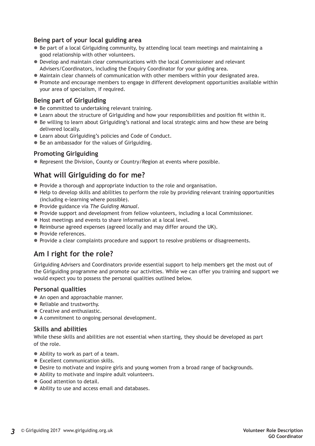#### **Being part of your local guiding area**

- $\bullet$  Be part of a local Girlguiding community, by attending local team meetings and maintaining a good relationship with other volunteers.
- Develop and maintain clear communications with the local Commissioner and relevant Advisers/Coordinators, including the Enquiry Coordinator for your guiding area.
- $\bullet$  Maintain clear channels of communication with other members within your designated area.
- Promote and encourage members to engage in different development opportunities available within your area of specialism, if required.

#### **Being part of Girlguiding**

- $\bullet$  Be committed to undertaking relevant training.
- Learn about the structure of Girlguiding and how your responsibilities and position fit within it.
- $\bullet$  Be willing to learn about Girlguiding's national and local strategic aims and how these are being delivered locally.
- Learn about Girlguiding's policies and Code of Conduct.
- Be an ambassador for the values of Girlguiding.

#### **Promoting Girlguiding**

• Represent the Division, County or Country/Region at events where possible.

#### **What will Girlguiding do for me?**

- Provide a thorough and appropriate induction to the role and organisation.
- $\bullet$  Help to develop skills and abilities to perform the role by providing relevant training opportunities (including e-learning where possible).
- z Provide guidance via *The Guiding Manual*.
- Provide support and development from fellow volunteers, including a local Commissioner.
- $\bullet$  Host meetings and events to share information at a local level.
- Reimburse agreed expenses (agreed locally and may differ around the UK).
- Provide references.
- Provide a clear complaints procedure and support to resolve problems or disagreements.

#### **Am I right for the role?**

Girlguiding Advisers and Coordinators provide essential support to help members get the most out of the Girlguiding programme and promote our activities. While we can offer you training and support we would expect you to possess the personal qualities outlined below.

#### **Personal qualities**

- An open and approachable manner.
- Reliable and trustworthy.
- $\bullet$  Creative and enthusiastic.
- A commitment to ongoing personal development.

#### **Skills and abilities**

While these skills and abilities are not essential when starting, they should be developed as part of the role.

- Ability to work as part of a team.
- Excellent communication skills.
- Desire to motivate and inspire girls and young women from a broad range of backgrounds.
- Ability to motivate and inspire adult volunteers.
- Good attention to detail.
- Ability to use and access email and databases.